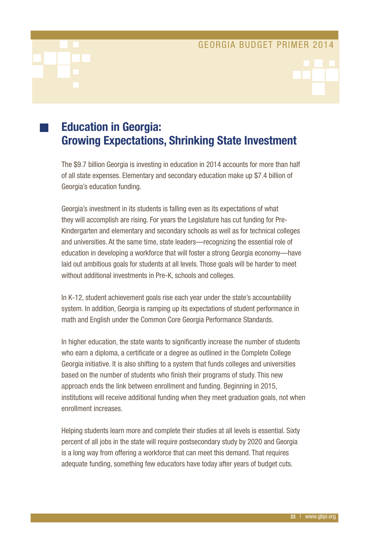# Education in Georgia: Growing Expectations, Shrinking State Investment

The \$9.7 billion Georgia is investing in education in 2014 accounts for more than half of all state expenses. Elementary and secondary education make up \$7.4 billion of Georgia's education funding.

Georgia's investment in its students is falling even as its expectations of what they will accomplish are rising. For years the Legislature has cut funding for Pre-Kindergarten and elementary and secondary schools as well as for technical colleges and universities. At the same time, state leaders—recognizing the essential role of education in developing a workforce that will foster a strong Georgia economy—have laid out ambitious goals for students at all levels. Those goals will be harder to meet without additional investments in Pre-K, schools and colleges.

In K-12, student achievement goals rise each year under the state's accountability system. In addition, Georgia is ramping up its expectations of student performance in math and English under the Common Core Georgia Performance Standards.

In higher education, the state wants to significantly increase the number of students who earn a diploma, a certificate or a degree as outlined in the Complete College Georgia initiative. It is also shifting to a system that funds colleges and universities based on the number of students who finish their programs of study. This new approach ends the link between enrollment and funding. Beginning in 2015, institutions will receive additional funding when they meet graduation goals, not when enrollment increases.

Helping students learn more and complete their studies at all levels is essential. Sixty percent of all jobs in the state will require postsecondary study by 2020 and Georgia is a long way from offering a workforce that can meet this demand. That requires adequate funding, something few educators have today after years of budget cuts.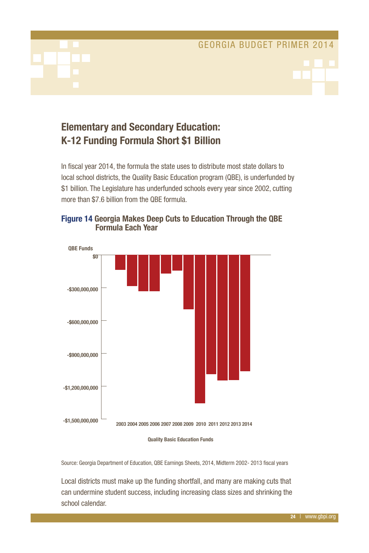# Elementary and Secondary Education: K-12 Funding Formula Short \$1 Billion

In fiscal year 2014, the formula the state uses to distribute most state dollars to local school districts, the Quality Basic Education program (QBE), is underfunded by \$1 billion. The Legislature has underfunded schools every year since 2002, cutting more than \$7.6 billion from the QBE formula.



## Figure 14 Georgia Makes Deep Cuts to Education Through the QBE Formula Each Year

### **Quality Basic Education Funds**

Source: Georgia Department of Education, QBE Earnings Sheets, 2014, Midterm 2002- 2013 fiscal years

Local districts must make up the funding shortfall, and many are making cuts that can undermine student success, including increasing class sizes and shrinking the school calendar.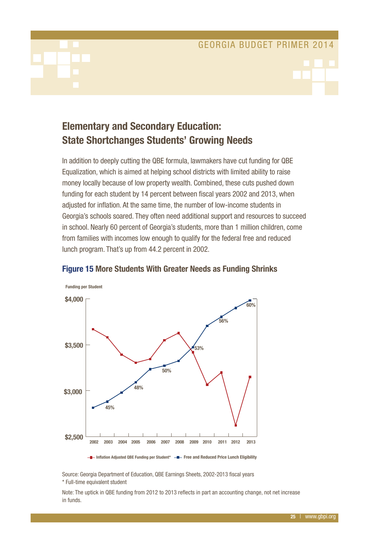# Elementary and Secondary Education: State Shortchanges Students' Growing Needs

In addition to deeply cutting the QBE formula, lawmakers have cut funding for QBE Equalization, which is aimed at helping school districts with limited ability to raise money locally because of low property wealth. Combined, these cuts pushed down funding for each student by 14 percent between fiscal years 2002 and 2013, when adjusted for inflation. At the same time, the number of low-income students in Georgia's schools soared. They often need additional support and resources to succeed in school. Nearly 60 percent of Georgia's students, more than 1 million children, come from families with incomes low enough to qualify for the federal free and reduced lunch program. That's up from 44.2 percent in 2002.



### Figure 15 More Students With Greater Needs as Funding Shrinks

**Inflation Adjusted QBE Funding per Student\* Free and Reduced Price Lunch Eligibility**

Source: Georgia Department of Education, QBE Earnings Sheets, 2002-2013 fiscal years \* Full-time equivalent student

Note: The uptick in QBE funding from 2012 to 2013 reflects in part an accounting change, not net increase in funds.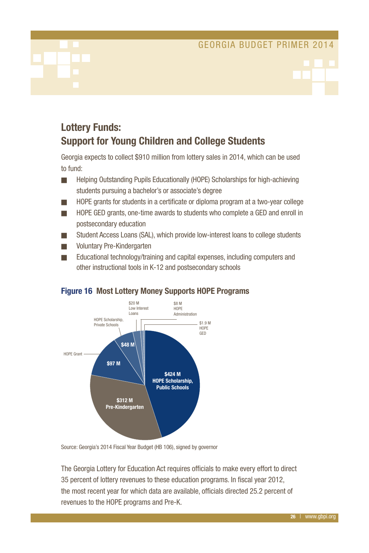# Lottery Funds: Support for Young Children and College Students

Georgia expects to collect \$910 million from lottery sales in 2014, which can be used to fund:

- **n Helping Outstanding Pupils Educationally (HOPE) Scholarships for high-achieving** students pursuing a bachelor's or associate's degree
- **n** HOPE grants for students in a certificate or diploma program at a two-year college
- **NOPE GED grants, one-time awards to students who complete a GED and enroll in** postsecondary education
- Student Access Loans (SAL), which provide low-interest loans to college students
- Voluntary Pre-Kindergarten
- $\blacksquare$  Educational technology/training and capital expenses, including computers and other instructional tools in K-12 and postsecondary schools



### Figure 16 Most Lottery Money Supports HOPE Programs

Source: Georgia's 2014 Fiscal Year Budget (HB 106), signed by governor

The Georgia Lottery for Education Act requires officials to make every effort to direct 35 percent of lottery revenues to these education programs. In fiscal year 2012, the most recent year for which data are available, officials directed 25.2 percent of revenues to the HOPE programs and Pre-K.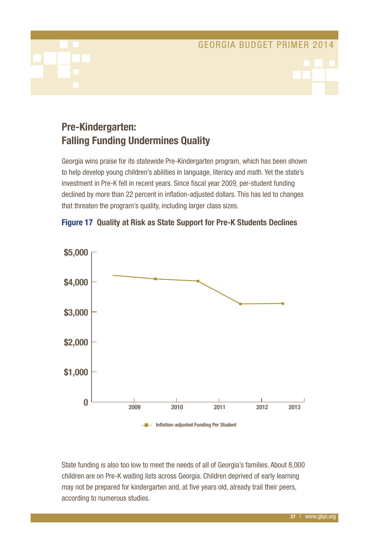# Pre-Kindergarten: Falling Funding Undermines Quality

Georgia wins praise for its statewide Pre-Kindergarten program, which has been shown to help develop young children's abilities in language, literacy and math. Yet the state's investment in Pre-K fell in recent years. Since fiscal year 2009, per-student funding declined by more than 22 percent in inflation-adjusted dollars. This has led to changes that threaten the program's quality, including larger class sizes.



### Figure 17 Quality at Risk as State Support for Pre-K Students Declines

State funding is also too low to meet the needs of all of Georgia's families. About 8,000 children are on Pre-K waiting lists across Georgia. Children deprived of early learning may not be prepared for kindergarten and, at five years old, already trail their peers, according to numerous studies.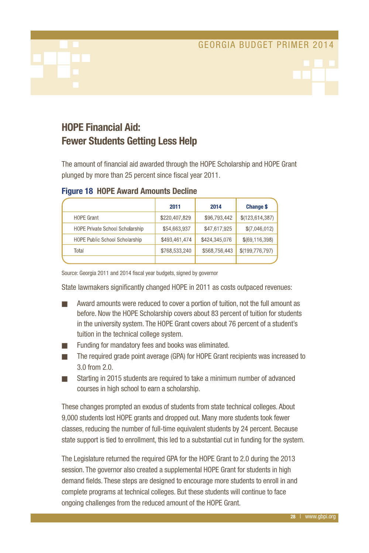# HOPE Financial Aid: Fewer Students Getting Less Help

The amount of financial aid awarded through the HOPE Scholarship and HOPE Grant plunged by more than 25 percent since fiscal year 2011.

|                                        | 2011          | 2014          | <b>Change \$</b>  |
|----------------------------------------|---------------|---------------|-------------------|
| <b>HOPE Grant</b>                      | \$220,407,829 | \$96,793,442  | \$(123, 614, 387) |
| <b>HOPE Private School Scholarship</b> | \$54,663,937  | \$47,617,925  | \$(7,046,012)     |
| <b>HOPE Public School Scholarship</b>  | \$493,461,474 | \$424,345,076 | \$(69, 116, 398)  |
| Total                                  | \$768,533,240 | \$568,756,443 | \$(199, 776, 797) |
|                                        |               |               |                   |

### Figure 18 HOPE Award Amounts Decline

Source: Georgia 2011 and 2014 fiscal year budgets, signed by governor

State lawmakers significantly changed HOPE in 2011 as costs outpaced revenues:

- Award amounts were reduced to cover a portion of tuition, not the full amount as before. Now the HOPE Scholarship covers about 83 percent of tuition for students in the university system. The HOPE Grant covers about 76 percent of a student's tuition in the technical college system.
- Funding for mandatory fees and books was eliminated.
- The required grade point average (GPA) for HOPE Grant recipients was increased to 3.0 from 2.0.
- n Starting in 2015 students are required to take a minimum number of advanced courses in high school to earn a scholarship.

These changes prompted an exodus of students from state technical colleges. About 9,000 students lost HOPE grants and dropped out. Many more students took fewer classes, reducing the number of full-time equivalent students by 24 percent. Because state support is tied to enrollment, this led to a substantial cut in funding for the system.

The Legislature returned the required GPA for the HOPE Grant to 2.0 during the 2013 session. The governor also created a supplemental HOPE Grant for students in high demand fields. These steps are designed to encourage more students to enroll in and complete programs at technical colleges. But these students will continue to face ongoing challenges from the reduced amount of the HOPE Grant.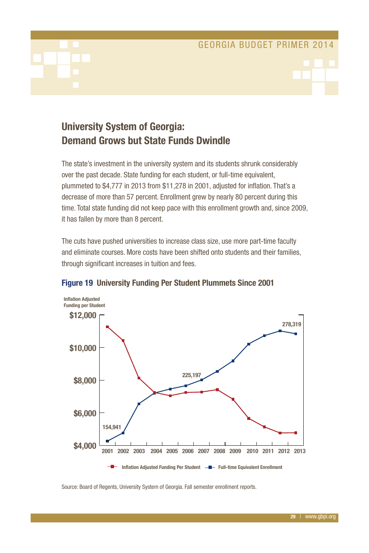# University System of Georgia: Demand Grows but State Funds Dwindle

The state's investment in the university system and its students shrunk considerably over the past decade. State funding for each student, or full-time equivalent, plummeted to \$4,777 in 2013 from \$11,278 in 2001, adjusted for inflation. That's a decrease of more than 57 percent. Enrollment grew by nearly 80 percent during this time. Total state funding did not keep pace with this enrollment growth and, since 2009, it has fallen by more than 8 percent.

The cuts have pushed universities to increase class size, use more part-time faculty and eliminate courses. More costs have been shifted onto students and their families, through significant increases in tuition and fees.



### Figure 19 University Funding Per Student Plummets Since 2001

Source: Board of Regents, University System of Georgia. Fall semester enrollment reports.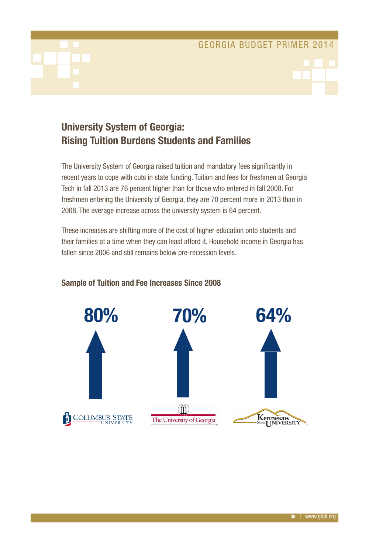# University System of Georgia: Rising Tuition Burdens Students and Families

The University System of Georgia raised tuition and mandatory fees significantly in recent years to cope with cuts in state funding. Tuition and fees for freshmen at Georgia Tech in fall 2013 are 76 percent higher than for those who entered in fall 2008. For freshmen entering the University of Georgia, they are 70 percent more in 2013 than in 2008. The average increase across the university system is 64 percent.

These increases are shifting more of the cost of higher education onto students and their families at a time when they can least afford it. Household income in Georgia has fallen since 2006 and still remains below pre-recession levels.



### Sample of Tuition and Fee Increases Since 2008